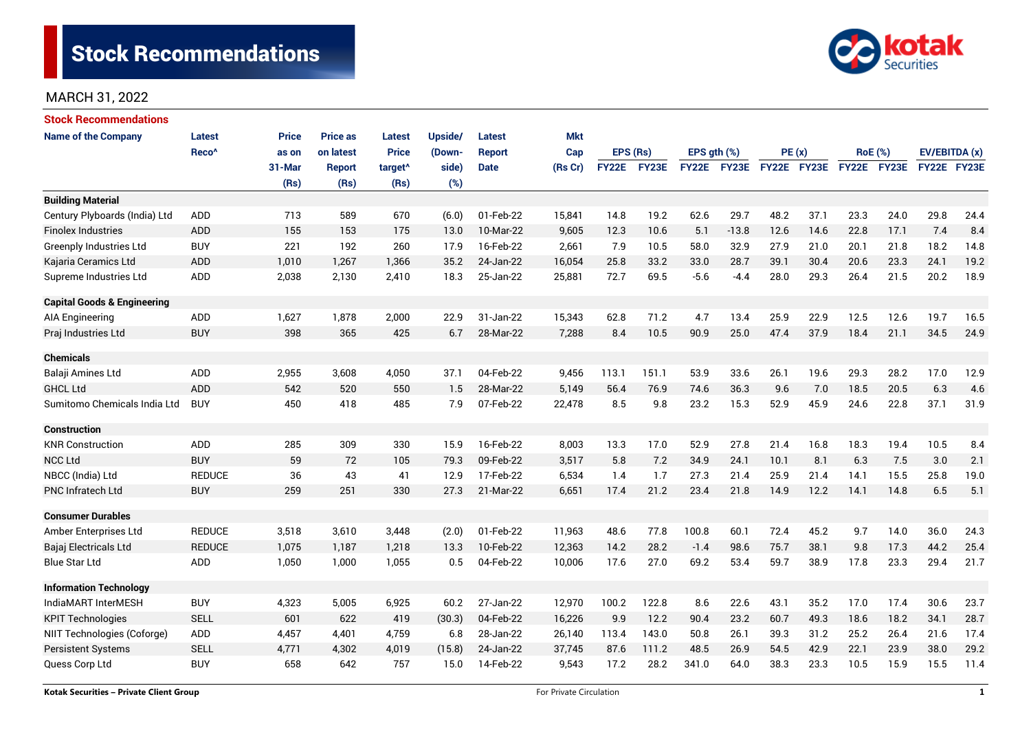

| <b>Stock Recommendations</b>           |                   |              |                 |                     |                |               |            |              |       |                  |             |             |      |                |      |               |      |
|----------------------------------------|-------------------|--------------|-----------------|---------------------|----------------|---------------|------------|--------------|-------|------------------|-------------|-------------|------|----------------|------|---------------|------|
| <b>Name of the Company</b>             | <b>Latest</b>     | <b>Price</b> | <b>Price as</b> | <b>Latest</b>       | <b>Upside/</b> | <b>Latest</b> | <b>Mkt</b> |              |       |                  |             |             |      |                |      |               |      |
|                                        | Reco <sup>^</sup> | as on        | on latest       | <b>Price</b>        | (Down-         | <b>Report</b> | Cap        | EPS (Rs)     |       | EPS $qth$ $(\%)$ |             | PE(x)       |      | <b>RoE</b> (%) |      | EV/EBITDA (x) |      |
|                                        |                   | 31-Mar       | <b>Report</b>   | target <sup>^</sup> | side)          | <b>Date</b>   | (Rs Cr)    | <b>FY22E</b> | FY23E |                  | FY22E FY23E | FY22E FY23E |      | FY22E FY23E    |      | FY22E FY23E   |      |
|                                        |                   | (Rs)         | (Rs)            | (Rs)                | (%)            |               |            |              |       |                  |             |             |      |                |      |               |      |
| <b>Building Material</b>               |                   |              |                 |                     |                |               |            |              |       |                  |             |             |      |                |      |               |      |
| Century Plyboards (India) Ltd          | <b>ADD</b>        | 713          | 589             | 670                 | (6.0)          | 01-Feb-22     | 15,841     | 14.8         | 19.2  | 62.6             | 29.7        | 48.2        | 37.1 | 23.3           | 24.0 | 29.8          | 24.4 |
| <b>Finolex Industries</b>              | ADD               | 155          | 153             | 175                 | 13.0           | 10-Mar-22     | 9,605      | 12.3         | 10.6  | 5.1              | $-13.8$     | 12.6        | 14.6 | 22.8           | 17.1 | 7.4           | 8.4  |
| <b>Greenply Industries Ltd</b>         | <b>BUY</b>        | 221          | 192             | 260                 | 17.9           | 16-Feb-22     | 2,661      | 7.9          | 10.5  | 58.0             | 32.9        | 27.9        | 21.0 | 20.1           | 21.8 | 18.2          | 14.8 |
| Kajaria Ceramics Ltd                   | <b>ADD</b>        | 1,010        | 1,267           | 1,366               | 35.2           | 24-Jan-22     | 16,054     | 25.8         | 33.2  | 33.0             | 28.7        | 39.1        | 30.4 | 20.6           | 23.3 | 24.1          | 19.2 |
| Supreme Industries Ltd                 | ADD               | 2,038        | 2,130           | 2,410               | 18.3           | 25-Jan-22     | 25,881     | 72.7         | 69.5  | $-5.6$           | $-4.4$      | 28.0        | 29.3 | 26.4           | 21.5 | 20.2          | 18.9 |
| <b>Capital Goods &amp; Engineering</b> |                   |              |                 |                     |                |               |            |              |       |                  |             |             |      |                |      |               |      |
| <b>AIA Engineering</b>                 | ADD               | 1,627        | 1,878           | 2,000               | 22.9           | 31-Jan-22     | 15,343     | 62.8         | 71.2  | 4.7              | 13.4        | 25.9        | 22.9 | 12.5           | 12.6 | 19.7          | 16.5 |
| Praj Industries Ltd                    | <b>BUY</b>        | 398          | 365             | 425                 | 6.7            | 28-Mar-22     | 7,288      | 8.4          | 10.5  | 90.9             | 25.0        | 47.4        | 37.9 | 18.4           | 21.1 | 34.5          | 24.9 |
| <b>Chemicals</b>                       |                   |              |                 |                     |                |               |            |              |       |                  |             |             |      |                |      |               |      |
| Balaji Amines Ltd                      | ADD               | 2,955        | 3,608           | 4,050               | 37.1           | 04-Feb-22     | 9,456      | 113.1        | 151.1 | 53.9             | 33.6        | 26.1        | 19.6 | 29.3           | 28.2 | 17.0          | 12.9 |
| <b>GHCL Ltd</b>                        | <b>ADD</b>        | 542          | 520             | 550                 | 1.5            | 28-Mar-22     | 5,149      | 56.4         | 76.9  | 74.6             | 36.3        | 9.6         | 7.0  | 18.5           | 20.5 | 6.3           | 4.6  |
| Sumitomo Chemicals India Ltd           | <b>BUY</b>        | 450          | 418             | 485                 | 7.9            | 07-Feb-22     | 22,478     | 8.5          | 9.8   | 23.2             | 15.3        | 52.9        | 45.9 | 24.6           | 22.8 | 37.1          | 31.9 |
| <b>Construction</b>                    |                   |              |                 |                     |                |               |            |              |       |                  |             |             |      |                |      |               |      |
| <b>KNR Construction</b>                | <b>ADD</b>        | 285          | 309             | 330                 | 15.9           | 16-Feb-22     | 8,003      | 13.3         | 17.0  | 52.9             | 27.8        | 21.4        | 16.8 | 18.3           | 19.4 | 10.5          | 8.4  |
| <b>NCC Ltd</b>                         | <b>BUY</b>        | 59           | 72              | 105                 | 79.3           | 09-Feb-22     | 3,517      | 5.8          | 7.2   | 34.9             | 24.1        | 10.1        | 8.1  | 6.3            | 7.5  | 3.0           | 2.1  |
| NBCC (India) Ltd                       | <b>REDUCE</b>     | 36           | 43              | 41                  | 12.9           | 17-Feb-22     | 6,534      | 1.4          | 1.7   | 27.3             | 21.4        | 25.9        | 21.4 | 14.1           | 15.5 | 25.8          | 19.0 |
| PNC Infratech Ltd                      | <b>BUY</b>        | 259          | 251             | 330                 | 27.3           | 21-Mar-22     | 6,651      | 17.4         | 21.2  | 23.4             | 21.8        | 14.9        | 12.2 | 14.1           | 14.8 | 6.5           | 5.1  |
| <b>Consumer Durables</b>               |                   |              |                 |                     |                |               |            |              |       |                  |             |             |      |                |      |               |      |
| Amber Enterprises Ltd                  | <b>REDUCE</b>     | 3,518        | 3,610           | 3,448               | (2.0)          | 01-Feb-22     | 11,963     | 48.6         | 77.8  | 100.8            | 60.1        | 72.4        | 45.2 | 9.7            | 14.0 | 36.0          | 24.3 |
| Bajaj Electricals Ltd                  | <b>REDUCE</b>     | 1,075        | 1,187           | 1,218               | 13.3           | 10-Feb-22     | 12,363     | 14.2         | 28.2  | $-1.4$           | 98.6        | 75.7        | 38.1 | 9.8            | 17.3 | 44.2          | 25.4 |
| <b>Blue Star Ltd</b>                   | ADD               | 1,050        | 1,000           | 1,055               | 0.5            | 04-Feb-22     | 10,006     | 17.6         | 27.0  | 69.2             | 53.4        | 59.7        | 38.9 | 17.8           | 23.3 | 29.4          | 21.7 |
| <b>Information Technology</b>          |                   |              |                 |                     |                |               |            |              |       |                  |             |             |      |                |      |               |      |
| IndiaMART InterMESH                    | <b>BUY</b>        | 4,323        | 5,005           | 6,925               | 60.2           | 27-Jan-22     | 12,970     | 100.2        | 122.8 | 8.6              | 22.6        | 43.1        | 35.2 | 17.0           | 17.4 | 30.6          | 23.7 |
| <b>KPIT Technologies</b>               | <b>SELL</b>       | 601          | 622             | 419                 | (30.3)         | 04-Feb-22     | 16,226     | 9.9          | 12.2  | 90.4             | 23.2        | 60.7        | 49.3 | 18.6           | 18.2 | 34.1          | 28.7 |
| NIIT Technologies (Coforge)            | ADD               | 4,457        | 4,401           | 4,759               | 6.8            | 28-Jan-22     | 26,140     | 113.4        | 143.0 | 50.8             | 26.1        | 39.3        | 31.2 | 25.2           | 26.4 | 21.6          | 17.4 |
| <b>Persistent Systems</b>              | <b>SELL</b>       | 4,771        | 4,302           | 4,019               | (15.8)         | 24-Jan-22     | 37,745     | 87.6         | 111.2 | 48.5             | 26.9        | 54.5        | 42.9 | 22.1           | 23.9 | 38.0          | 29.2 |
| Quess Corp Ltd                         | <b>BUY</b>        | 658          | 642             | 757                 | 15.0           | 14-Feb-22     | 9,543      | 17.2         | 28.2  | 341.0            | 64.0        | 38.3        | 23.3 | 10.5           | 15.9 | 15.5          | 11.4 |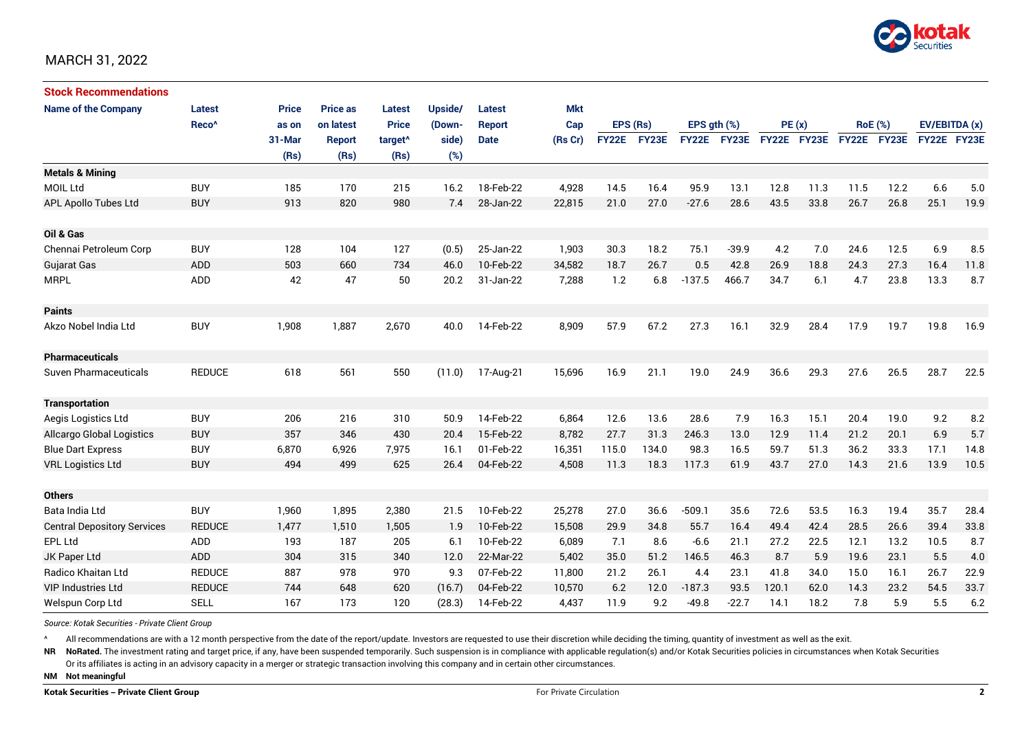

| <b>Stock Recommendations</b>       |                   |              |                 |                     |         |               |            |              |       |              |         |             |      |                |             |               |      |
|------------------------------------|-------------------|--------------|-----------------|---------------------|---------|---------------|------------|--------------|-------|--------------|---------|-------------|------|----------------|-------------|---------------|------|
| <b>Name of the Company</b>         | Latest            | <b>Price</b> | <b>Price as</b> | <b>Latest</b>       | Upside/ | <b>Latest</b> | <b>Mkt</b> |              |       |              |         |             |      |                |             |               |      |
|                                    | Reco <sup>^</sup> | as on        | on latest       | <b>Price</b>        | (Down-  | <b>Report</b> | Cap        | EPS (Rs)     |       | EPS ath (%)  |         | PE(x)       |      | <b>RoE</b> (%) |             | EV/EBITDA (x) |      |
|                                    |                   | 31-Mar       | Report          | target <sup>^</sup> | side)   | <b>Date</b>   | (Rs Cr)    | <b>FY22E</b> | FY23E | <b>FY22E</b> | FY23E   | FY22E FY23E |      |                | FY22E FY23E | FY22E FY23E   |      |
|                                    |                   | (Rs)         | (Rs)            | (Rs)                | (%)     |               |            |              |       |              |         |             |      |                |             |               |      |
| <b>Metals &amp; Mining</b>         |                   |              |                 |                     |         |               |            |              |       |              |         |             |      |                |             |               |      |
| <b>MOIL Ltd</b>                    | <b>BUY</b>        | 185          | 170             | 215                 | 16.2    | 18-Feb-22     | 4,928      | 14.5         | 16.4  | 95.9         | 13.1    | 12.8        | 11.3 | 11.5           | 12.2        | 6.6           | 5.0  |
| <b>APL Apollo Tubes Ltd</b>        | <b>BUY</b>        | 913          | 820             | 980                 | 7.4     | 28-Jan-22     | 22,815     | 21.0         | 27.0  | $-27.6$      | 28.6    | 43.5        | 33.8 | 26.7           | 26.8        | 25.1          | 19.9 |
|                                    |                   |              |                 |                     |         |               |            |              |       |              |         |             |      |                |             |               |      |
| Oil & Gas                          |                   |              |                 |                     |         |               |            |              |       |              |         |             |      |                |             |               |      |
| Chennai Petroleum Corp             | <b>BUY</b>        | 128          | 104             | 127                 | (0.5)   | 25-Jan-22     | 1,903      | 30.3         | 18.2  | 75.1         | $-39.9$ | 4.2         | 7.0  | 24.6           | 12.5        | 6.9           | 8.5  |
| <b>Gujarat Gas</b>                 | <b>ADD</b>        | 503          | 660             | 734                 | 46.0    | 10-Feb-22     | 34.582     | 18.7         | 26.7  | 0.5          | 42.8    | 26.9        | 18.8 | 24.3           | 27.3        | 16.4          | 11.8 |
| <b>MRPL</b>                        | ADD               | 42           | 47              | 50                  | 20.2    | 31-Jan-22     | 7,288      | 1.2          | 6.8   | $-137.5$     | 466.7   | 34.7        | 6.1  | 4.7            | 23.8        | 13.3          | 8.7  |
|                                    |                   |              |                 |                     |         |               |            |              |       |              |         |             |      |                |             |               |      |
| <b>Paints</b>                      |                   |              |                 |                     |         |               |            |              |       |              |         |             |      |                |             |               |      |
| Akzo Nobel India Ltd               | <b>BUY</b>        | 1,908        | 1,887           | 2,670               | 40.0    | 14-Feb-22     | 8,909      | 57.9         | 67.2  | 27.3         | 16.1    | 32.9        | 28.4 | 17.9           | 19.7        | 19.8          | 16.9 |
|                                    |                   |              |                 |                     |         |               |            |              |       |              |         |             |      |                |             |               |      |
| <b>Pharmaceuticals</b>             |                   |              |                 |                     |         |               |            |              |       |              |         |             |      |                |             |               |      |
| <b>Suven Pharmaceuticals</b>       | <b>REDUCE</b>     | 618          | 561             | 550                 | (11.0)  | 17-Aug-21     | 15,696     | 16.9         | 21.1  | 19.0         | 24.9    | 36.6        | 29.3 | 27.6           | 26.5        | 28.7          | 22.5 |
|                                    |                   |              |                 |                     |         |               |            |              |       |              |         |             |      |                |             |               |      |
| <b>Transportation</b>              |                   |              |                 |                     |         |               |            |              |       |              |         |             |      |                |             |               |      |
| Aegis Logistics Ltd                | <b>BUY</b>        | 206          | 216             | 310                 | 50.9    | 14-Feb-22     | 6,864      | 12.6         | 13.6  | 28.6         | 7.9     | 16.3        | 15.1 | 20.4           | 19.0        | 9.2           | 8.2  |
| <b>Allcargo Global Logistics</b>   | <b>BUY</b>        | 357          | 346             | 430                 | 20.4    | 15-Feb-22     | 8,782      | 27.7         | 31.3  | 246.3        | 13.0    | 12.9        | 11.4 | 21.2           | 20.1        | 6.9           | 5.7  |
| <b>Blue Dart Express</b>           | <b>BUY</b>        | 6,870        | 6,926           | 7,975               | 16.1    | 01-Feb-22     | 16,351     | 115.0        | 134.0 | 98.3         | 16.5    | 59.7        | 51.3 | 36.2           | 33.3        | 17.1          | 14.8 |
| <b>VRL Logistics Ltd</b>           | <b>BUY</b>        | 494          | 499             | 625                 | 26.4    | 04-Feb-22     | 4,508      | 11.3         | 18.3  | 117.3        | 61.9    | 43.7        | 27.0 | 14.3           | 21.6        | 13.9          | 10.5 |
|                                    |                   |              |                 |                     |         |               |            |              |       |              |         |             |      |                |             |               |      |
| <b>Others</b>                      |                   |              |                 |                     |         |               |            |              |       |              |         |             |      |                |             |               |      |
| Bata India Ltd                     | <b>BUY</b>        | 1,960        | 1,895           | 2,380               | 21.5    | 10-Feb-22     | 25,278     | 27.0         | 36.6  | $-509.1$     | 35.6    | 72.6        | 53.5 | 16.3           | 19.4        | 35.7          | 28.4 |
| <b>Central Depository Services</b> | <b>REDUCE</b>     | 1,477        | 1,510           | 1,505               | 1.9     | 10-Feb-22     | 15,508     | 29.9         | 34.8  | 55.7         | 16.4    | 49.4        | 42.4 | 28.5           | 26.6        | 39.4          | 33.8 |
| <b>EPL Ltd</b>                     | ADD               | 193          | 187             | 205                 | 6.1     | 10-Feb-22     | 6,089      | 7.1          | 8.6   | $-6.6$       | 21.1    | 27.2        | 22.5 | 12.1           | 13.2        | 10.5          | 8.7  |
| JK Paper Ltd                       | <b>ADD</b>        | 304          | 315             | 340                 | 12.0    | 22-Mar-22     | 5,402      | 35.0         | 51.2  | 146.5        | 46.3    | 8.7         | 5.9  | 19.6           | 23.1        | 5.5           | 4.0  |
| Radico Khaitan Ltd                 | <b>REDUCE</b>     | 887          | 978             | 970                 | 9.3     | 07-Feb-22     | 11,800     | 21.2         | 26.1  | 4.4          | 23.1    | 41.8        | 34.0 | 15.0           | 16.1        | 26.7          | 22.9 |
| <b>VIP Industries Ltd</b>          | <b>REDUCE</b>     | 744          | 648             | 620                 | (16.7)  | 04-Feb-22     | 10,570     | 6.2          | 12.0  | $-187.3$     | 93.5    | 120.1       | 62.0 | 14.3           | 23.2        | 54.5          | 33.7 |
| Welspun Corp Ltd                   | <b>SELL</b>       | 167          | 173             | 120                 | (28.3)  | 14-Feb-22     | 4,437      | 11.9         | 9.2   | $-49.8$      | $-22.7$ | 14.1        | 18.2 | 7.8            | 5.9         | 5.5           | 6.2  |

*Source: Kotak Securities - Private Client Group*

All recommendations are with a 12 month perspective from the date of the report/update. Investors are requested to use their discretion while deciding the timing, quantity of investment as well as the exit.

NR NoRated. The investment rating and target price, if any, have been suspended temporarily. Such suspension is in compliance with applicable regulation(s) and/or Kotak Securities policies in circumstances when Kotak Secur

Or its affiliates is acting in an advisory capacity in a merger or strategic transaction involving this company and in certain other circumstances.

**NM Not meaningful**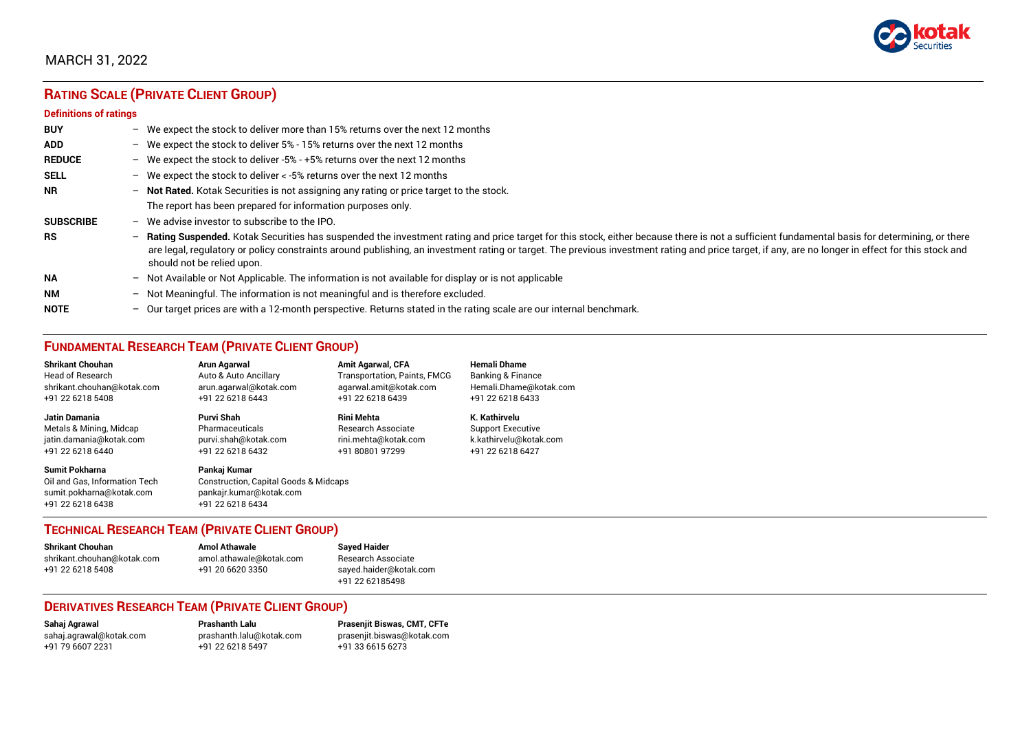

# **RATING SCALE (PRIVATE CLIENT GROUP)**

#### **Definitions of ratings**

| <b>BUY</b>       | - We expect the stock to deliver more than 15% returns over the next 12 months                                                                                                                                                                                                                                                                                                                                                     |
|------------------|------------------------------------------------------------------------------------------------------------------------------------------------------------------------------------------------------------------------------------------------------------------------------------------------------------------------------------------------------------------------------------------------------------------------------------|
| <b>ADD</b>       | - We expect the stock to deliver 5% - 15% returns over the next 12 months                                                                                                                                                                                                                                                                                                                                                          |
| <b>REDUCE</b>    | - We expect the stock to deliver -5% - +5% returns over the next 12 months                                                                                                                                                                                                                                                                                                                                                         |
| <b>SELL</b>      | - We expect the stock to deliver $\lt$ -5% returns over the next 12 months                                                                                                                                                                                                                                                                                                                                                         |
| <b>NR</b>        | - Not Rated. Kotak Securities is not assigning any rating or price target to the stock.                                                                                                                                                                                                                                                                                                                                            |
|                  | The report has been prepared for information purposes only.                                                                                                                                                                                                                                                                                                                                                                        |
| <b>SUBSCRIBE</b> | $-$ We advise investor to subscribe to the IPO.                                                                                                                                                                                                                                                                                                                                                                                    |
| <b>RS</b>        | - Rating Suspended. Kotak Securities has suspended the investment rating and price target for this stock, either because there is not a sufficient fundamental basis for determining, or there<br>are legal, regulatory or policy constraints around publishing, an investment rating or target. The previous investment rating and price target, if any, are no longer in effect for this stock and<br>should not be relied upon. |
| <b>NA</b>        | $-$ Not Available or Not Applicable. The information is not available for display or is not applicable                                                                                                                                                                                                                                                                                                                             |
| <b>NM</b>        | - Not Meaningful. The information is not meaningful and is therefore excluded.                                                                                                                                                                                                                                                                                                                                                     |
| <b>NOTE</b>      | $-$ Our target prices are with a 12-month perspective. Returns stated in the rating scale are our internal benchmark.                                                                                                                                                                                                                                                                                                              |

# **FUNDAMENTAL RESEARCH TEAM (PRIVATE CLIENT GROUP)**

| <b>Shrikant Chouhan</b>                                                                                | Arun Agarwal                                                                                                    | <b>Amit Agarwal, CFA</b>            | <b>Hemali Dhame</b>      |
|--------------------------------------------------------------------------------------------------------|-----------------------------------------------------------------------------------------------------------------|-------------------------------------|--------------------------|
| <b>Head of Research</b>                                                                                | Auto & Auto Ancillary                                                                                           | <b>Transportation, Paints, FMCG</b> | Banking & Finance        |
| shrikant.chouhan@kotak.com                                                                             | arun.agarwal@kotak.com                                                                                          | agarwal.amit@kotak.com              | Hemali.Dhame@kotak.com   |
| +91 22 6218 5408                                                                                       | +91 22 6218 6443                                                                                                | +91 22 6218 6439                    | +91 22 6218 6433         |
| Jatin Damania                                                                                          | Purvi Shah                                                                                                      | <b>Rini Mehta</b>                   | K. Kathirvelu            |
| Metals & Mining, Midcap                                                                                | Pharmaceuticals                                                                                                 | <b>Research Associate</b>           | <b>Support Executive</b> |
| jatin.damania@kotak.com                                                                                | purvi.shah@kotak.com                                                                                            | rini.mehta@kotak.com                | k.kathirvelu@kotak.com   |
| +91 22 6218 6440                                                                                       | +91 22 6218 6432                                                                                                | +91 80801 97299                     | +91 22 6218 6427         |
| <b>Sumit Pokharna</b><br>Oil and Gas, Information Tech<br>sumit.pokharna@kotak.com<br>+91 22 6218 6438 | Pankaj Kumar<br><b>Construction, Capital Goods &amp; Midcaps</b><br>pankajr.kumar@kotak.com<br>+91 22 6218 6434 |                                     |                          |

#### **TECHNICAL RESEARCH TEAM (PRIVATE CLIENT GROUP)**

| <b>Shrikant Chouhan</b>    | <b>Amol Athawale</b>    |  |
|----------------------------|-------------------------|--|
| shrikant.chouhan@kotak.com | amol.athawale@kotak.com |  |
| +91 22 6218 5408           | +91 20 6620 3350        |  |
|                            |                         |  |

**Sayed Haider** Research Associate [sayed.haider@kotak.com](mailto:sayed.haider@kotak.com) +91 22 62185498

#### **DERIVATIVES RESEARCH TEAM (PRIVATE CLIENT GROUP)**

+91 22 6218 5497 +91 33 6615 6273

**Sahaj Agrawal Prashanth Lalu Prasenjit Biswas, CMT, CFTe** [sahaj.agrawal@kotak.com](mailto:sahaj.agrawal@kotak.com) [prashanth.lalu@kotak.com](mailto:prashanth.lalu@kotak.com) [prasenjit.biswas@kotak.com](mailto:prasenjit.biswas@kotak.com)